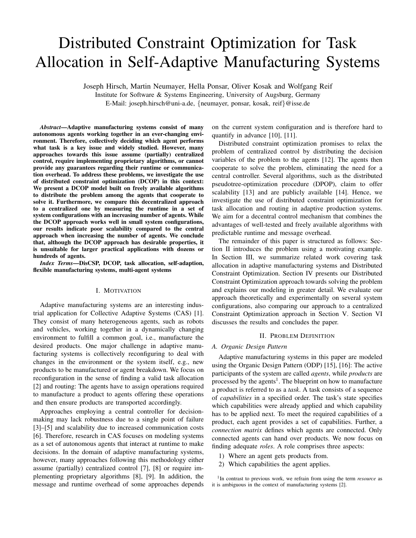# Distributed Constraint Optimization for Task Allocation in Self-Adaptive Manufacturing Systems

Joseph Hirsch, Martin Neumayer, Hella Ponsar, Oliver Kosak and Wolfgang Reif Institute for Software & Systems Engineering, University of Augsburg, Germany E-Mail: joseph.hirsch@uni-a.de, {neumayer, ponsar, kosak, reif}@isse.de

*Abstract*—Adaptive manufacturing systems consist of many autonomous agents working together in an ever-changing environment. Therefore, collectively deciding which agent performs what task is a key issue and widely studied. However, many approaches towards this issue assume (partially) centralized control, require implementing proprietary algorithms, or cannot provide any guarantees regarding their runtime or communication overhead. To address these problems, we investigate the use of distributed constraint optimization (DCOP) in this context: We present a DCOP model built on freely available algorithms to distribute the problem among the agents that cooperate to solve it. Furthermore, we compare this decentralized approach to a centralized one by measuring the runtime in a set of system configurations with an increasing number of agents. While the DCOP approach works well in small system configurations, our results indicate poor scalability compared to the central approach when increasing the number of agents. We conclude that, although the DCOP approach has desirable properties, it is unsuitable for larger practical applications with dozens or hundreds of agents.

*Index Terms*—DisCSP, DCOP, task allocation, self-adaption, flexible manufacturing systems, multi-agent systems

# I. MOTIVATION

Adaptive manufacturing systems are an interesting industrial application for Collective Adaptive Systems (CAS) [\[1\]](#page-5-0). They consist of many heterogeneous agents, such as robots and vehicles, working together in a dynamically changing environment to fulfill a common goal, i.e., manufacture the desired products. One major challenge in adaptive manufacturing systems is collectively reconfiguring to deal with changes in the environment or the system itself, e.g., new products to be manufactured or agent breakdown. We focus on reconfiguration in the sense of finding a valid task allocation [\[2\]](#page-5-1) and routing: The agents have to assign operations required to manufacture a product to agents offering these operations and then ensure products are transported accordingly.

Approaches employing a central controller for decisionmaking may lack robustness due to a single point of failure [\[3\]](#page-5-2)–[\[5\]](#page-5-3) and scalability due to increased communication costs [\[6\]](#page-5-4). Therefore, research in CAS focuses on modeling systems as a set of autonomous agents that interact at runtime to make decisions. In the domain of adaptive manufacturing systems, however, many approaches following this methodology either assume (partially) centralized control [\[7\]](#page-5-5), [\[8\]](#page-5-6) or require implementing proprietary algorithms [\[8\]](#page-5-6), [\[9\]](#page-5-7). In addition, the message and runtime overhead of some approaches depends on the current system configuration and is therefore hard to quantify in advance [\[10\]](#page-5-8), [\[11\]](#page-5-9).

Distributed constraint optimization promises to relax the problem of centralized control by distributing the decision variables of the problem to the agents [\[12\]](#page-5-10). The agents then cooperate to solve the problem, eliminating the need for a central controller. Several algorithms, such as the distributed pseudotree-optimization procedure (DPOP), claim to offer scalability [\[13\]](#page-5-11) and are publicly available [\[14\]](#page-5-12). Hence, we investigate the use of distributed constraint optimization for task allocation and routing in adaptive production systems. We aim for a decentral control mechanism that combines the advantages of well-tested and freely available algorithms with predictable runtime and message overhead.

The remainder of this paper is structured as follows: Section [II](#page-0-0) introduces the problem using a motivating example. In Section [III,](#page-1-0) we summarize related work covering task allocation in adaptive manufacturing systems and Distributed Constraint Optimization. Section [IV](#page-2-0) presents our Distributed Constraint Optimization approach towards solving the problem and explains our modeling in greater detail. We evaluate our approach theoretically and experimentally on several system configurations, also comparing our approach to a centralized Constraint Optimization approach in Section [V.](#page-3-0) Section [VI](#page-5-13) discusses the results and concludes the paper.

# II. PROBLEM DEFINITION

# <span id="page-0-0"></span>*A. Organic Design Pattern*

Adaptive manufacturing systems in this paper are modeled using the Organic Design Pattern (ODP) [\[15\]](#page-5-14), [\[16\]](#page-5-15): The active participants of the system are called *agents*, while *products* are processed by the agents<sup>[1](#page-0-1)</sup>. The blueprint on how to manufacture a product is referred to as a *task*. A task consists of a sequence of *capabilities* in a specified order. The task's state specifies which capabilities were already applied and which capability has to be applied next. To meet the required capabilities of a product, each agent provides a set of capabilities. Further, a *connection matrix* defines which agents are connected. Only connected agents can hand over products. We now focus on finding adequate *roles*. A role comprises three aspects:

- 1) Where an agent gets products from.
- 2) Which capabilities the agent applies.

<span id="page-0-1"></span><sup>&</sup>lt;sup>1</sup>In contrast to previous work, we refrain from using the term *resource* as it is ambiguous in the context of manufacturing systems [\[2\]](#page-5-1).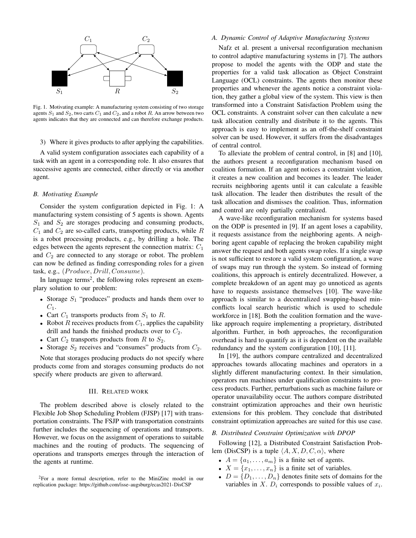

<span id="page-1-1"></span>Fig. 1. Motivating example: A manufacturing system consisting of two storage agents  $S_1$  and  $S_2$ , two carts  $C_1$  and  $C_2$ , and a robot R. An arrow between two agents indicates that they are connected and can therefore exchange products.

# 3) Where it gives products to after applying the capabilities.

A valid system configuration associates each capability of a task with an agent in a corresponding role. It also ensures that successive agents are connected, either directly or via another agent.

# <span id="page-1-3"></span>*B. Motivating Example*

Consider the system configuration depicted in Fig. [1:](#page-1-1) A manufacturing system consisting of 5 agents is shown. Agents  $S_1$  and  $S_2$  are storages producing and consuming products,  $C_1$  and  $C_2$  are so-called carts, transporting products, while  $R$ is a robot processing products, e.g., by drilling a hole. The edges between the agents represent the connection matrix:  $C_1$ and  $C_2$  are connected to any storage or robot. The problem can now be defined as finding corresponding roles for a given task, e.g.,  $(Product, Drill, Consume)$ .

In language terms<sup>[2](#page-1-2)</sup>, the following roles represent an exemplary solution to our problem:

- Storage  $S_1$  "produces" products and hands them over to  $C_1$ .
- Cart  $C_1$  transports products from  $S_1$  to R.
- Robot R receives products from  $C_1$ , applies the capability drill and hands the finished products over to  $C_2$ .
- Cart  $C_2$  transports products from R to  $S_2$ .
- Storage  $S_2$  receives and "consumes" products from  $C_2$ .

Note that storages producing products do not specify where products come from and storages consuming products do not specify where products are given to afterward.

## III. RELATED WORK

<span id="page-1-0"></span>The problem described above is closely related to the Flexible Job Shop Scheduling Problem (FJSP) [\[17\]](#page-5-16) with transportation constraints. The FSJP with transportation constraints further includes the sequencing of operations and transports. However, we focus on the assignment of operations to suitable machines and the routing of products. The sequencing of operations and transports emerges through the interaction of the agents at runtime.

# *A. Dynamic Control of Adaptive Manufacturing Systems*

Nafz et al. present a universal reconfiguration mechanism to control adaptive manufacturing systems in [\[7\]](#page-5-5). The authors propose to model the agents with the ODP and state the properties for a valid task allocation as Object Constraint Language (OCL) constraints. The agents then monitor these properties and whenever the agents notice a constraint violation, they gather a global view of the system. This view is then transformed into a Constraint Satisfaction Problem using the OCL constraints. A constraint solver can then calculate a new task allocation centrally and distribute it to the agents. This approach is easy to implement as an off-the-shelf constraint solver can be used. However, it suffers from the disadvantages of central control.

To alleviate the problem of central control, in [\[8\]](#page-5-6) and [\[10\]](#page-5-8), the authors present a reconfiguration mechanism based on coalition formation. If an agent notices a constraint violation, it creates a new coalition and becomes its leader. The leader recruits neighboring agents until it can calculate a feasible task allocation. The leader then distributes the result of the task allocation and dismisses the coalition. Thus, information and control are only partially centralized.

A wave-like reconfiguration mechanism for systems based on the ODP is presented in [\[9\]](#page-5-7). If an agent loses a capability, it requests assistance from the neighboring agents. A neighboring agent capable of replacing the broken capability might answer the request and both agents swap roles. If a single swap is not sufficient to restore a valid system configuration, a wave of swaps may run through the system. So instead of forming coalitions, this approach is entirely decentralized. However, a complete breakdown of an agent may go unnoticed as agents have to requests assistance themselves [\[10\]](#page-5-8). The wave-like approach is similar to a decentralized swapping-based minconflicts local search heuristic which is used to schedule workforce in [\[18\]](#page-5-17). Both the coalition formation and the wavelike approach require implementing a proprietary, distributed algorithm. Further, in both approaches, the reconfiguration overhead is hard to quantify as it is dependent on the available redundancy and the system configuration [\[10\]](#page-5-8), [\[11\]](#page-5-9).

In [\[19\]](#page-5-18), the authors compare centralized and decentralized approaches towards allocating machines and operators in a slightly different manufacturing context. In their simulation, operators run machines under qualification constraints to process products. Further, perturbations such as machine failure or operator unavailability occur. The authors compare distributed constraint optimization approaches and their own heuristic extensions for this problem. They conclude that distributed constraint optimization approaches are suited for this use case.

# *B. Distributed Constraint Optimization with DPOP*

Following [\[12\]](#page-5-10), a Distributed Constraint Satisfaction Problem (DisCSP) is a tuple  $\langle A, X, D, C, \alpha \rangle$ , where

- $A = \{a_1, \ldots, a_m\}$  is a finite set of agents.
- $X = \{x_1, \ldots, x_n\}$  is a finite set of variables.
- $D = \{D_1, \ldots, D_n\}$  denotes finite sets of domains for the variables in X.  $D_i$  corresponds to possible values of  $x_i$ .

<span id="page-1-2"></span><sup>2</sup>For a more formal description, refer to the MiniZinc model in our replication package:<https://github.com/isse-augsburg/ecas2021-DisCSP>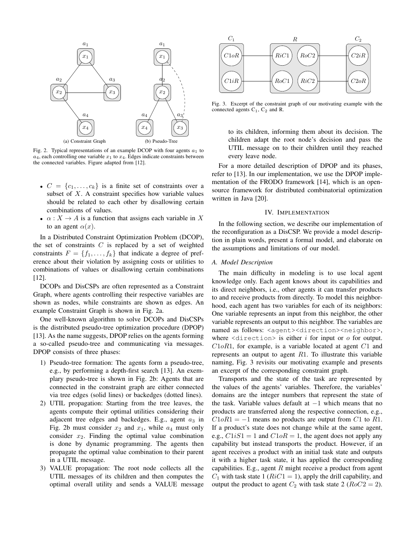

<span id="page-2-1"></span>Fig. 2. Typical representations of an example DCOP with four agents  $a_1$  to  $a_4$ , each controlling one variable  $x_1$  to  $x_4$ . Edges indicate constraints between the connected variables. Figure adapted from [\[12\]](#page-5-10).

- $C = \{c_1, \ldots, c_k\}$  is a finite set of constraints over a subset of  $X$ . A constraint specifies how variable values should be related to each other by disallowing certain combinations of values.
- $\alpha: X \to A$  is a function that assigns each variable in X to an agent  $\alpha(x)$ .

In a Distributed Constraint Optimization Problem (DCOP), the set of constraints  $C$  is replaced by a set of weighted constraints  $F = \{f_1, \ldots, f_k\}$  that indicate a degree of preference about their violation by assigning costs or utilities to combinations of values or disallowing certain combinations [\[12\]](#page-5-10).

DCOPs and DisCSPs are often represented as a Constraint Graph, where agents controlling their respective variables are shown as nodes, while constraints are shown as edges. An example Constraint Graph is shown in Fig. [2a.](#page-2-1)

One well-known algorithm to solve DCOPs and DisCSPs is the distributed pseudo-tree optimization procedure (DPOP) [\[13\]](#page-5-11). As the name suggests, DPOP relies on the agents forming a so-called pseudo-tree and communicating via messages. DPOP consists of three phases:

- 1) Pseudo-tree formation: The agents form a pseudo-tree, e.g., by performing a depth-first search [\[13\]](#page-5-11). An exemplary pseudo-tree is shown in Fig. [2b:](#page-2-2) Agents that are connected in the constraint graph are either connected via tree edges (solid lines) or backedges (dotted lines).
- 2) UTIL propagation: Starting from the tree leaves, the agents compute their optimal utilities considering their adjacent tree edges and backedges. E.g., agent  $a_3$  in Fig. [2b](#page-2-2) must consider  $x_2$  and  $x_1$ , while  $a_4$  must only consider  $x_2$ . Finding the optimal value combination is done by dynamic programming. The agents then propagate the optimal value combination to their parent in a UTIL message.
- 3) VALUE propagation: The root node collects all the UTIL messages of its children and then computes the optimal overall utility and sends a VALUE message



<span id="page-2-3"></span><span id="page-2-2"></span>Fig. 3. Excerpt of the constraint graph of our motivating example with the connected agents  $C_1$ ,  $C_2$  and R.

to its children, informing them about its decision. The children adapt the root node's decision and pass the UTIL message on to their children until they reached every leave node.

For a more detailed description of DPOP and its phases, refer to [\[13\]](#page-5-11). In our implementation, we use the DPOP implementation of the FRODO framework [\[14\]](#page-5-12), which is an opensource framework for distributed combinatorial optimization written in Java [\[20\]](#page-5-19).

# IV. IMPLEMENTATION

<span id="page-2-0"></span>In the following section, we describe our implementation of the reconfiguration as a DisCSP. We provide a model description in plain words, present a formal model, and elaborate on the assumptions and limitations of our model.

# *A. Model Description*

The main difficulty in modeling is to use local agent knowledge only. Each agent knows about its capabilities and its direct neighbors, i.e., other agents it can transfer products to and receive products from directly. To model this neighborhood, each agent has two variables for each of its neighbors: One variable represents an input from this neighbor, the other variable represents an output to this neighbor. The variables are named as follows: <agent><direction><neighbor>, where  $\le$ direction $\ge$  is either *i* for input or *o* for output.  $C1oR1$ , for example, is a variable located at agent  $C1$  and represents an output to agent  $R1$ . To illustrate this variable naming, Fig. [3](#page-2-3) revisits our motivating example and presents an excerpt of the corresponding constraint graph.

Transports and the state of the task are represented by the values of the agents' variables. Therefore, the variables' domains are the integer numbers that represent the state of the task. Variable values default at −1 which means that no products are transferred along the respective connection, e.g.,  $C1oR1 = -1$  means no products are output from C1 to R1. If a product's state does not change while at the same agent, e.g.,  $C1iS1 = 1$  and  $C1oR = 1$ , the agent does not apply any capability but instead transports the product. However, if an agent receives a product with an initial task state and outputs it with a higher task state, it has applied the corresponding capabilities. E.g., agent  $R$  might receive a product from agent  $C_1$  with task state 1 ( $RiC1 = 1$ ), apply the drill capability, and output the product to agent  $C_2$  with task state 2 ( $RoC2 = 2$ ).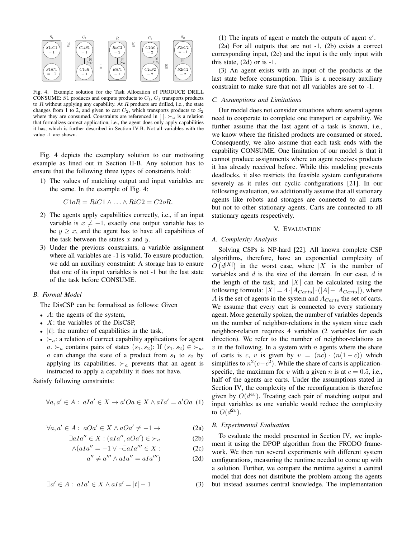

<span id="page-3-2"></span>Fig. 4. Example solution for the Task Allocation of PRODUCE DRILL CONSUME:  $S1$  produces and outputs products to  $C_1$ ,  $C_1$  transports products to  $R$  without applying any capability. At  $R$  products are drilled, i.e., the state changes from 1 to 2, and given to cart  $C_2$ , which transports products to  $S_2$ where they are consumed. Constraints are referenced in  $\lceil \cdot \rceil$ .  $\lceil \cdot \rceil$  is a relation that formalizes correct application, i.e., the agent does only apply capabilities it has, which is further described in Section [IV-B.](#page-3-1) Not all variables with the value -1 are shown.

Fig. [4](#page-3-2) depicts the exemplary solution to our motivating example as lined out in Section [II-B.](#page-1-3) Any solution has to ensure that the following three types of constraints hold:

1) The values of matching output and input variables are the same. In the example of Fig. [4:](#page-3-2)

$$
C1oR = RiC1 \wedge \ldots \wedge RiC2 = C2oR.
$$

- 2) The agents apply capabilities correctly, i.e., if an input variable is  $x \neq -1$ , exactly one output variable has to be  $y \geq x$ , and the agent has to have all capabilities of the task between the states  $x$  and  $y$ .
- 3) Under the previous constraints, a variable assignment where all variables are -1 is valid. To ensure production, we add an auxiliary constraint: A storage has to ensure that one of its input variables is not -1 but the last state of the task before CONSUME.

## <span id="page-3-1"></span>*B. Formal Model*

The DisCSP can be formalized as follows: Given

- $\overline{A}$ : the agents of the system,
- $X$ : the variables of the DisCSP,
- $|t|$ : the number of capabilities in the task,
- $\succ_a$ : a relation of correct capability applications for agent  $a. \succ_a$  contains pairs of states  $(s_1, s_2)$ : If  $(s_1, s_2) \in \succ_a$ ,  $a$  can change the state of a product from  $s_1$  to  $s_2$  by applying its capabilities.  $\succ_a$  prevents that an agent is instructed to apply a capability it does not have.

<span id="page-3-3"></span>Satisfy following constraints:

$$
\forall a, a' \in A : aIa' \in X \to a'Oa \in X \land aIa' = a'Oa \tag{1}
$$

$$
\forall a, a' \in A: aOa' \in X \land aOa' \neq -1 \rightarrow
$$
 (2a)

$$
\exists a Ia'' \in X : (aIa'', aOa') \in \succ_a \tag{2b}
$$

$$
\wedge (aIa'' = -1 \vee \neg \exists aIa''' \in X: \tag{2c}
$$

$$
a'' \neq a''' \wedge aIa'' = aIa''' \tag{2d}
$$

<span id="page-3-8"></span>
$$
\exists a' \in A : \ aIa' \in X \land aIa' = |t| - 1 \tag{3}
$$

[\(1\)](#page-3-3) The inputs of agent  $a$  match the outputs of agent  $a'$ .

[\(2a\)](#page-3-4) For all outputs that are not -1, [\(2b\)](#page-3-5) exists a correct corresponding input, [\(2c\)](#page-3-6) and the input is the only input with this state,  $(2d)$  or is  $-1$ .

[\(3\)](#page-3-8) An agent exists with an input of the products at the last state before consumption. This is a necessary auxiliary constraint to make sure that not all variables are set to -1.

## *C. Assumptions and Limitations*

Our model does not consider situations where several agents need to cooperate to complete one transport or capability. We further assume that the last agent of a task is known, i.e., we know where the finished products are consumed or stored. Consequently, we also assume that each task ends with the capability CONSUME. One limitation of our model is that it cannot produce assignments where an agent receives products it has already received before. While this modeling prevents deadlocks, it also restricts the feasible system configurations severely as it rules out cyclic configurations [\[21\]](#page-5-20). In our following evaluation, we additionally assume that all stationary agents like robots and storages are connected to all carts but not to other stationary agents. Carts are connected to all stationary agents respectively.

## V. EVALUATION

## <span id="page-3-0"></span>*A. Complexity Analysis*

Solving CSPs is NP-hard [\[22\]](#page-5-21). All known complete CSP algorithms, therefore, have an exponential complexity of  $O(d^{|X|})$  in the worst case, where |X| is the number of variables and  $d$  is the size of the domain. In our case,  $d$  is the length of the task, and  $|X|$  can be calculated using the following formula:  $|X| = 4 \cdot |A_{Carts}| \cdot (|A| - |A_{Carts}|)$ , where A is the set of agents in the system and  $A_{Carts}$  the set of carts. We assume that every cart is connected to every stationary agent. More generally spoken, the number of variables depends on the number of neighbor-relations in the system since each neighbor-relation requires 4 variables (2 variables for each direction). We refer to the number of neighbor-relations as  $v$  in the following. In a system with  $n$  agents where the share of carts is c, v is given by  $v = (nc) \cdot (n(1-c))$  which simplifies to  $n^2(c-c^2)$ . While the share of carts is applicationspecific, the maximum for v with a given n is at  $c = 0.5$ , i.e., half of the agents are carts. Under the assumptions stated in Section [IV,](#page-2-0) the complexity of the reconfiguration is therefore given by  $O(d^{4v})$ . Treating each pair of matching output and input variables as one variable would reduce the complexity to  $O(d^{2v})$ .

## <span id="page-3-4"></span>*B. Experimental Evaluation*

<span id="page-3-7"></span><span id="page-3-6"></span><span id="page-3-5"></span>To evaluate the model presented in Section [IV,](#page-2-0) we implement it using the DPOP algorithm from the FRODO framework. We then run several experiments with different system configurations, measuring the runtime needed to come up with a solution. Further, we compare the runtime against a central model that does not distribute the problem among the agents but instead assumes central knowledge. The implementation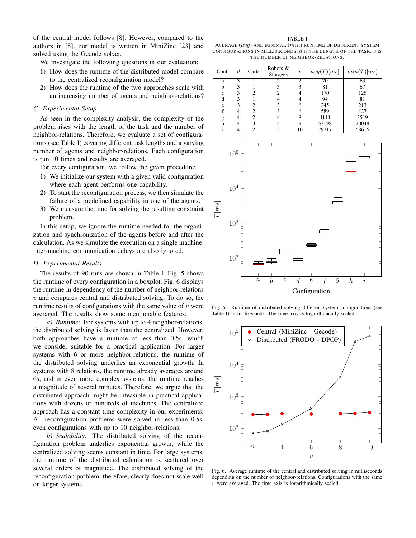of the central model follows [\[8\]](#page-5-6). However, compared to the authors in [\[8\]](#page-5-6), our model is written in MiniZinc [\[23\]](#page-5-22) and solved using the Gecode solver.

We investigate the following questions in our evaluation:

- 1) How does the runtime of the distributed model compare to the centralized reconfiguration model?
- 2) How does the runtime of the two approaches scale with an increasing number of agents and neighbor-relations?

#### *C. Experimental Setup*

As seen in the complexity analysis, the complexity of the problem rises with the length of the task and the number of neighbor-relations. Therefore, we evaluate a set of configurations (see Table [I\)](#page-4-0) covering different task lengths and a varying number of agents and neighbor-relations. Each configuration is run 10 times and results are averaged.

For every configuration, we follow the given procedure:

- 1) We initialize our system with a given valid configuration where each agent performs one capability.
- 2) To start the reconfiguration process, we then simulate the failure of a predefined capability in one of the agents.
- 3) We measure the time for solving the resulting constraint problem.

In this setup, we ignore the runtime needed for the organization and synchronization of the agents before and after the calculation. As we simulate the execution on a single machine, inter-machine communication delays are also ignored.

#### *D. Experimental Results*

The results of 90 runs are shown in Table [I.](#page-4-0) Fig. [5](#page-4-1) shows the runtime of every configuration in a boxplot. Fig. [6](#page-4-2) displays the runtime in dependency of the number of neighbor-relations  $v$  and compares central and distributed solving. To do so, the runtime results of configurations with the same value of  $v$  were averaged. The results show some mentionable features:

*a) Runtime:* For systems with up to 4 neighbor-relations, the distributed solving is faster than the centralized. However, both approaches have a runtime of less than 0.5s, which we consider suitable for a practical application. For larger systems with 6 or more neighbor-relations, the runtime of the distributed solving underlies an exponential growth. In systems with 8 relations, the runtime already averages around 6s, and in even more complex systems, the runtime reaches a magnitude of several minutes. Therefore, we argue that the distributed approach might be infeasible in practical applications with dozens or hundreds of machines. The centralized approach has a constant time complexity in our experiments: All reconfiguration problems were solved in less than 0.5s, even configurations with up to 10 neighbor-relations.

*b) Scalability:* The distributed solving of the reconfiguration problem underlies exponential growth, while the centralized solving seems constant in time. For large systems, the runtime of the distributed calculation is scattered over several orders of magnitude. The distributed solving of the reconfiguration problem, therefore, clearly does not scale well on larger systems.

TABLE I

<span id="page-4-0"></span>AVERAGE  $(avg)$  and minimal  $(min)$  runtime of different system CONFIGURATIONS IN MILLISECONDS.  $d$  is the length of the task,  $v$  is THE NUMBER OF NEIGHBOR-RELATIONS.

| Conf.                                                   | $\boldsymbol{d}$                           | Carts                                                                                                                                                                                                                                      | Robots &<br>Storages               | $\overline{v}$           | avg(T)[ms]                         |                  | min(T)[ms]                         |                          |  |
|---------------------------------------------------------|--------------------------------------------|--------------------------------------------------------------------------------------------------------------------------------------------------------------------------------------------------------------------------------------------|------------------------------------|--------------------------|------------------------------------|------------------|------------------------------------|--------------------------|--|
| $\overline{\mathbf{3}}$<br>$\rm{a}$<br>3<br>$\mathbf b$ |                                            | $\overline{1}$<br>$\mathbf{1}$                                                                                                                                                                                                             | $\frac{2}{3}$ 3 2 4 3 3 4 3 5      | $\frac{2}{3}$            | 70<br>$8\sqrt{1}$                  |                  | 63<br>67                           |                          |  |
| $\mathbf c$                                             |                                            |                                                                                                                                                                                                                                            |                                    | $\overline{\mathcal{L}}$ | 170                                |                  | 125                                |                          |  |
| d                                                       | $\begin{array}{c} 3 \\ 3 \\ 3 \end{array}$ | $\frac{2}{1}$                                                                                                                                                                                                                              |                                    | $\overline{\mathcal{L}}$ | 94                                 |                  | 81                                 |                          |  |
| $\rm e$                                                 |                                            |                                                                                                                                                                                                                                            |                                    | 6                        | 245                                |                  | 213                                |                          |  |
| $\mathbf f$                                             | $\overline{4}$                             |                                                                                                                                                                                                                                            |                                    | 6                        | 589                                |                  | 427                                |                          |  |
| $\mathop{\mathrm{g}}\nolimits$ h                        | $\overline{4}$                             |                                                                                                                                                                                                                                            |                                    | 8                        | 4114                               |                  | 3519                               |                          |  |
|                                                         | $\overline{\mathcal{L}}$                   | $\begin{array}{c} 2 \\ 2 \\ 2 \\ 3 \\ 2 \end{array}$                                                                                                                                                                                       | 9<br>53198                         |                          |                                    | 20048            |                                    |                          |  |
| $\rm i$                                                 | $\overline{4}$                             |                                                                                                                                                                                                                                            |                                    | 10                       | 79717                              |                  | 68616                              |                          |  |
|                                                         |                                            |                                                                                                                                                                                                                                            |                                    |                          |                                    |                  |                                    |                          |  |
|                                                         |                                            |                                                                                                                                                                                                                                            |                                    |                          |                                    |                  |                                    |                          |  |
|                                                         | $10^5\,$                                   |                                                                                                                                                                                                                                            |                                    |                          |                                    |                  | $\equiv$                           |                          |  |
|                                                         |                                            |                                                                                                                                                                                                                                            |                                    |                          |                                    |                  |                                    |                          |  |
|                                                         |                                            |                                                                                                                                                                                                                                            |                                    |                          |                                    |                  |                                    |                          |  |
|                                                         |                                            |                                                                                                                                                                                                                                            |                                    |                          |                                    |                  |                                    |                          |  |
|                                                         |                                            |                                                                                                                                                                                                                                            |                                    |                          |                                    |                  |                                    |                          |  |
|                                                         | $10^4\,$                                   |                                                                                                                                                                                                                                            |                                    |                          |                                    |                  |                                    |                          |  |
|                                                         |                                            | <b><i>PERSONAL PROPERTY AND PERSONAL PROPERTY AND PERSONAL PROPERTY AND PERSONAL PROPERTY AND ADD FOR A 200 KW 200 KW 200 KW 200 KW 200 KW 200 KW 200 KW 200 KW 200 KW 200 KW 200 KW 200 KW 200 KW 200 KW 200 KW 200 KW 200 KW 200</i></b> |                                    |                          |                                    |                  |                                    |                          |  |
|                                                         |                                            |                                                                                                                                                                                                                                            |                                    |                          |                                    |                  |                                    |                          |  |
| T[ns]                                                   |                                            |                                                                                                                                                                                                                                            |                                    |                          |                                    |                  |                                    |                          |  |
|                                                         |                                            |                                                                                                                                                                                                                                            |                                    |                          |                                    |                  |                                    |                          |  |
|                                                         | $10^3\,$                                   |                                                                                                                                                                                                                                            |                                    |                          |                                    |                  |                                    |                          |  |
|                                                         |                                            |                                                                                                                                                                                                                                            |                                    |                          |                                    |                  |                                    |                          |  |
|                                                         |                                            |                                                                                                                                                                                                                                            |                                    |                          |                                    |                  |                                    | $-1 - 1 - 1 - 1 - 1 - 1$ |  |
|                                                         |                                            |                                                                                                                                                                                                                                            |                                    |                          |                                    |                  |                                    |                          |  |
|                                                         | $10^2\,$                                   |                                                                                                                                                                                                                                            |                                    |                          |                                    |                  |                                    |                          |  |
|                                                         |                                            |                                                                                                                                                                                                                                            |                                    |                          |                                    |                  |                                    |                          |  |
|                                                         |                                            |                                                                                                                                                                                                                                            |                                    |                          |                                    |                  |                                    |                          |  |
|                                                         |                                            | $\boldsymbol{a}$                                                                                                                                                                                                                           | $\overline{c}$<br>$\boldsymbol{b}$ | $\boldsymbol{d}$         | $\boldsymbol{e}$<br>$\overline{f}$ | $\boldsymbol{g}$ | $\overline{i}$<br>$\boldsymbol{h}$ |                          |  |
|                                                         |                                            |                                                                                                                                                                                                                                            |                                    |                          |                                    |                  |                                    |                          |  |
|                                                         | Configuration                              |                                                                                                                                                                                                                                            |                                    |                          |                                    |                  |                                    |                          |  |

<span id="page-4-1"></span>Fig. 5. Runtime of distributed solving different system configurations (see Table [I\)](#page-4-0) in milliseconds. The time axis is logarithmically scaled.



<span id="page-4-2"></span>Fig. 6. Average runtime of the central and distributed solving in milliseconds depending on the number of neighbor-relations. Configurations with the same  $v$  were averaged. The time axis is logarithmically scaled.